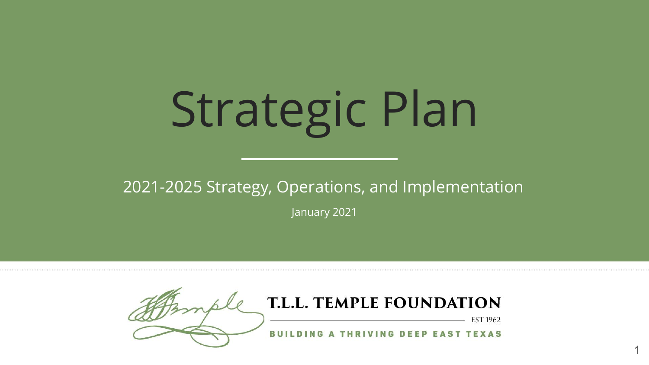# Strategic Plan

2021-2025 Strategy, Operations, and Implementation

January 2021

1

T.L.L. TEMPLE FOUNDATION **EST 1962 BUILDING A THRIVING DEEP EAST TEXAS**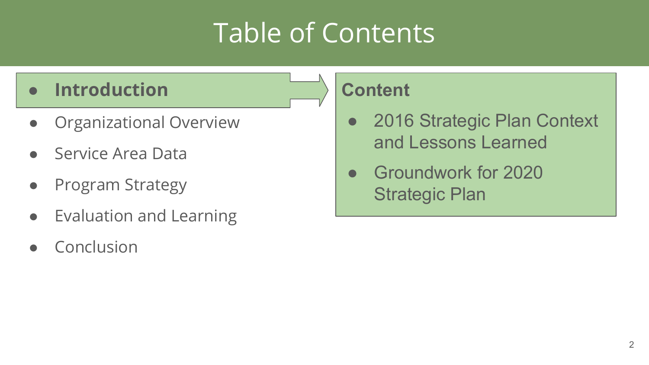#### Table of Contents

#### **● Introduction**

- Organizational Overview
- Service Area Data
- **Program Strategy**
- Evaluation and Learning
- Conclusion

#### **Content**

- 2016 Strategic Plan Context and Lessons Learned
- Groundwork for 2020 Strategic Plan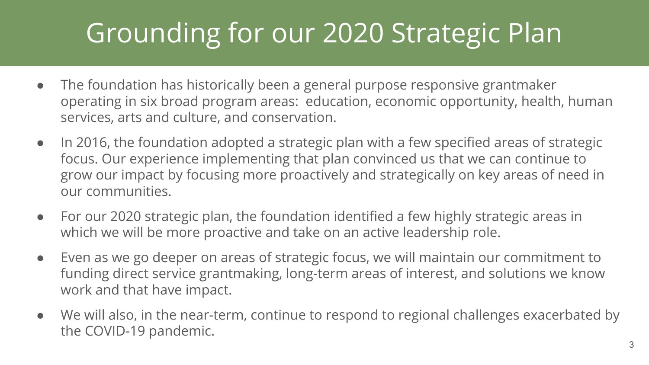#### Grounding for our 2020 Strategic Plan

- The foundation has historically been a general purpose responsive grantmaker operating in six broad program areas: education, economic opportunity, health, human services, arts and culture, and conservation.
- In 2016, the foundation adopted a strategic plan with a few specified areas of strategic focus. Our experience implementing that plan convinced us that we can continue to grow our impact by focusing more proactively and strategically on key areas of need in our communities.
- For our 2020 strategic plan, the foundation identified a few highly strategic areas in which we will be more proactive and take on an active leadership role.
- Even as we go deeper on areas of strategic focus, we will maintain our commitment to funding direct service grantmaking, long-term areas of interest, and solutions we know work and that have impact.
- We will also, in the near-term, continue to respond to regional challenges exacerbated by the COVID-19 pandemic.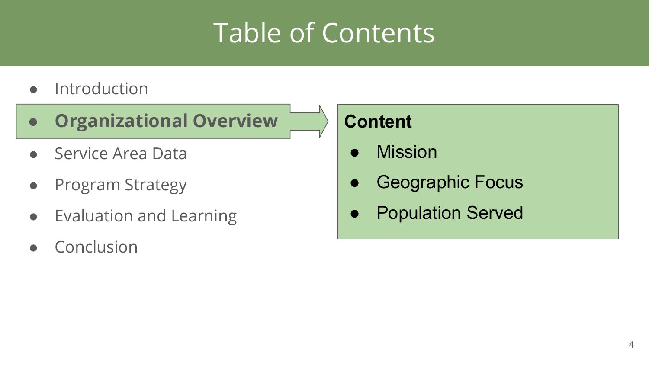#### Table of Contents

- Introduction
- **● Organizational Overview**
- Service Area Data
- Program Strategy
- Evaluation and Learning
- Conclusion

#### **Content**

- **Mission**
- **Geographic Focus**
- **Population Served**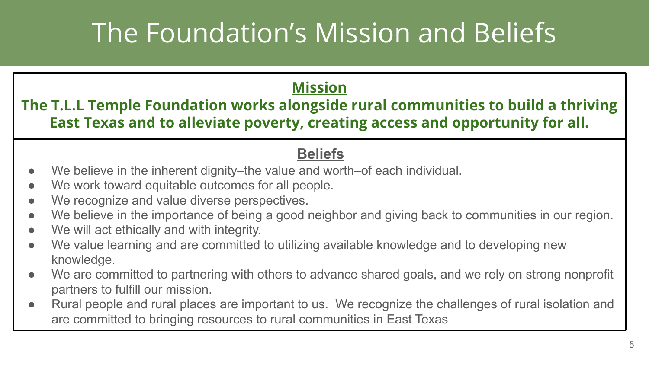#### The Foundation's Mission and Beliefs

#### **Mission**

**The T.L.L Temple Foundation works alongside rural communities to build a thriving East Texas and to alleviate poverty, creating access and opportunity for all.**

#### **Beliefs**

- We believe in the inherent dignity–the value and worth–of each individual.
- We work toward equitable outcomes for all people.
- We recognize and value diverse perspectives.
- We believe in the importance of being a good neighbor and giving back to communities in our region.
- We will act ethically and with integrity.
- We value learning and are committed to utilizing available knowledge and to developing new knowledge.
- We are committed to partnering with others to advance shared goals, and we rely on strong nonprofit partners to fulfill our mission.
- Rural people and rural places are important to us. We recognize the challenges of rural isolation and are committed to bringing resources to rural communities in East Texas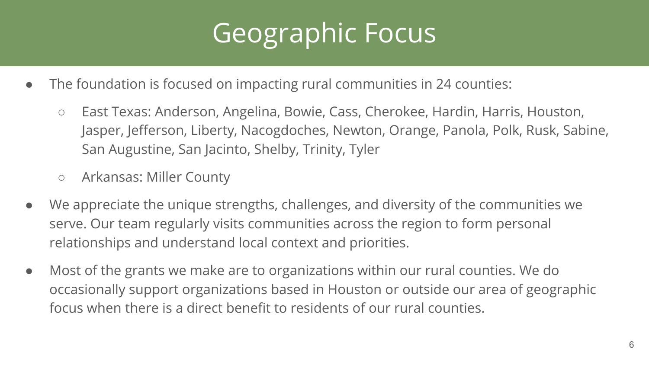## Geographic Focus

- The foundation is focused on impacting rural communities in 24 counties:
	- East Texas: Anderson, Angelina, Bowie, Cass, Cherokee, Hardin, Harris, Houston, Jasper, Jefferson, Liberty, Nacogdoches, Newton, Orange, Panola, Polk, Rusk, Sabine, San Augustine, San Jacinto, Shelby, Trinity, Tyler
	- Arkansas: Miller County
- We appreciate the unique strengths, challenges, and diversity of the communities we serve. Our team regularly visits communities across the region to form personal relationships and understand local context and priorities.
- Most of the grants we make are to organizations within our rural counties. We do occasionally support organizations based in Houston or outside our area of geographic focus when there is a direct benefit to residents of our rural counties.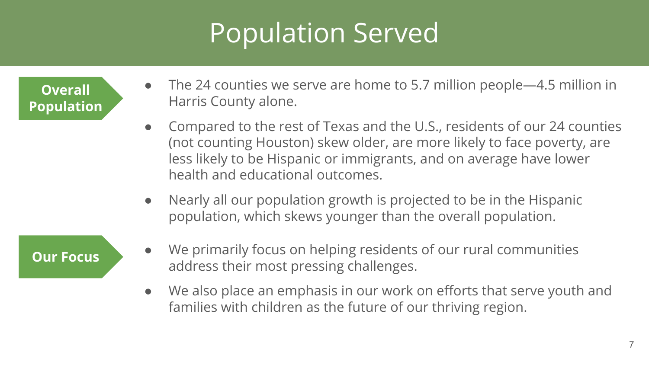#### Population Served

**Overall Population**

- The 24 counties we serve are home to 5.7 million people—4.5 million in Harris County alone.
- Compared to the rest of Texas and the U.S., residents of our 24 counties (not counting Houston) skew older, are more likely to face poverty, are less likely to be Hispanic or immigrants, and on average have lower health and educational outcomes.
- Nearly all our population growth is projected to be in the Hispanic population, which skews younger than the overall population.

- **Our Focus** We primarily focus on helping residents of our rural communities address their most pressing challenges.
	- We also place an emphasis in our work on efforts that serve youth and families with children as the future of our thriving region.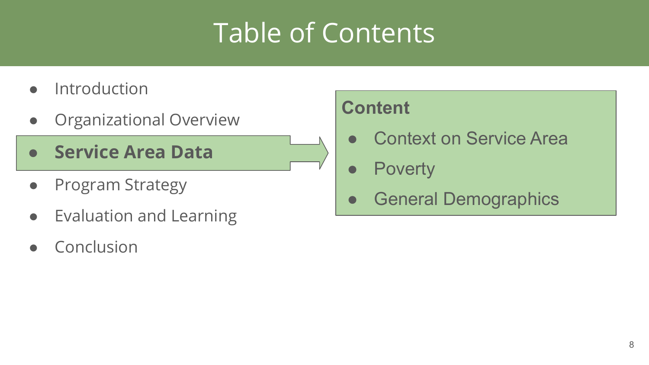#### Table of Contents

- **•** Introduction
- Organizational Overview
- **● Service Area Data**
- Program Strategy
- Evaluation and Learning
- Conclusion

#### **Content**

- **Context on Service Area**
- Poverty
- **General Demographics**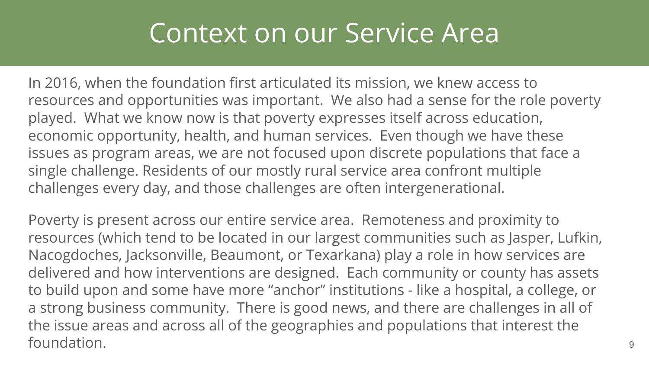#### Context on our Service Area

In 2016, when the foundation first articulated its mission, we knew access to resources and opportunities was important. We also had a sense for the role poverty played. What we know now is that poverty expresses itself across education, economic opportunity, health, and human services. Even though we have these issues as program areas, we are not focused upon discrete populations that face a single challenge. Residents of our mostly rural service area confront multiple challenges every day, and those challenges are often intergenerational.

Poverty is present across our entire service area. Remoteness and proximity to resources (which tend to be located in our largest communities such as Jasper, Lufkin, Nacogdoches, Jacksonville, Beaumont, or Texarkana) play a role in how services are delivered and how interventions are designed. Each community or county has assets to build upon and some have more "anchor" institutions - like a hospital, a college, or a strong business community. There is good news, and there are challenges in all of the issue areas and across all of the geographies and populations that interest the foundation. <sup>9</sup>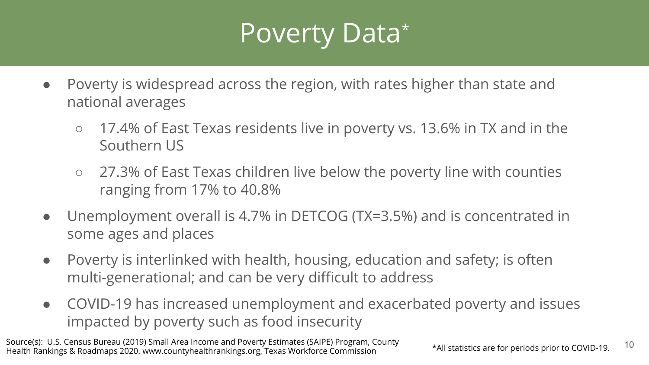#### Poverty Data\*

- Poverty is widespread across the region, with rates higher than state and national averages
	- 17.4% of East Texas residents live in poverty vs. 13.6% in TX and in the Southern US
	- 27.3% of East Texas children live below the poverty line with counties ranging from 17% to 40.8%
- Unemployment overall is 4.7% in DETCOG (TX=3.5%) and is concentrated in some ages and places
- Poverty is interlinked with health, housing, education and safety; is often multi-generational; and can be very difficult to address
- COVID-19 has increased unemployment and exacerbated poverty and issues impacted by poverty such as food insecurity

10 Source(s): U.S. Census Bureau (2019) Small Area Income and Poverty Estimates (SAIPE) Program, County Health Rankings & Roadmaps 2020. www.countyhealthrankings.org, Texas Workforce Commission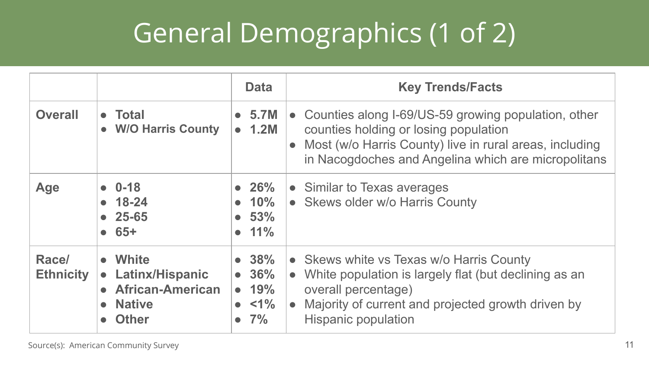## General Demographics (1 of 2)

|                           |                                                                                                                                                   | <b>Data</b>                                              | <b>Key Trends/Facts</b>                                                                                                                                                                                            |
|---------------------------|---------------------------------------------------------------------------------------------------------------------------------------------------|----------------------------------------------------------|--------------------------------------------------------------------------------------------------------------------------------------------------------------------------------------------------------------------|
| <b>Overall</b>            | $\bullet$ Total<br>• W/O Harris County                                                                                                            | $\bullet$ 5.7M<br>$\bullet$ 1.2M                         | • Counties along I-69/US-59 growing population, other<br>counties holding or losing population<br>• Most (w/o Harris County) live in rural areas, including<br>in Nacogdoches and Angelina which are micropolitans |
| Age                       | $0 - 18$<br>$• 18-24$<br>$• 25-65$<br>65+<br>$\bullet$                                                                                            | $\bullet$ 26%<br>$\bullet$ 10%<br>• 53%<br>$\bullet$ 11% | • Similar to Texas averages<br>• Skews older w/o Harris County                                                                                                                                                     |
| Race/<br><b>Ethnicity</b> | • White<br><b>Latinx/Hispanic</b><br>$\bullet$<br><b>African-American</b><br>$\bullet$<br><b>Native</b><br>$\bullet$<br><b>Other</b><br>$\bullet$ | • 38%<br>• 36%<br>• 19%<br>$\bullet$ <1%<br>$\bullet$ 7% | • Skews white vs Texas w/o Harris County<br>• White population is largely flat (but declining as an<br>overall percentage)<br>• Majority of current and projected growth driven by<br>Hispanic population          |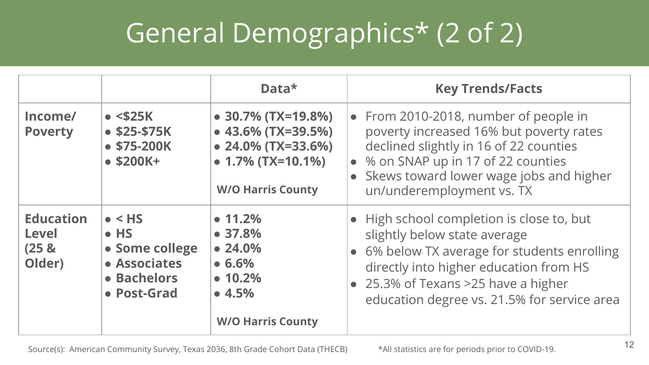## General Demographics\* (2 of 2)

|                                                                |                                                                                                | Data*                                                                                                                                           | <b>Key Trends/Facts</b>                                                                                                                                                                                                                                   |
|----------------------------------------------------------------|------------------------------------------------------------------------------------------------|-------------------------------------------------------------------------------------------------------------------------------------------------|-----------------------------------------------------------------------------------------------------------------------------------------------------------------------------------------------------------------------------------------------------------|
| Income/<br><b>Poverty</b>                                      | $\bullet$ <\$25K<br>$$25-$75K$<br>$•$ \$75-200K<br>$•$ \$200K+                                 | $\bullet$ 30.7% (TX=19.8%)<br>$\bullet$ 43.6% (TX=39.5%)<br>$\bullet$ 24.0% (TX=33.6%)<br>$\bullet$ 1.7% (TX=10.1%)<br><b>W/O Harris County</b> | • From 2010-2018, number of people in<br>poverty increased 16% but poverty rates<br>declined slightly in 16 of 22 counties<br>• % on SNAP up in 17 of 22 counties<br>Skews toward lower wage jobs and higher<br>un/underemployment vs. TX                 |
| <b>Education</b><br><b>Level</b><br>(25 <sub>8</sub><br>Older) | $\bullet$ < HS<br>$\bullet$ HS<br>• Some college<br>• Associates<br>• Bachelors<br>• Post-Grad | $\bullet$ 11.2%<br>• 37.8%<br>• 24.0%<br>• 6.6%<br>• 10.2%<br>• 4.5%                                                                            | • High school completion is close to, but<br>slightly below state average<br>• 6% below TX average for students enrolling<br>directly into higher education from HS<br>• 25.3% of Texans >25 have a higher<br>education degree vs. 21.5% for service area |
|                                                                |                                                                                                | <b>W/O Harris County</b>                                                                                                                        |                                                                                                                                                                                                                                                           |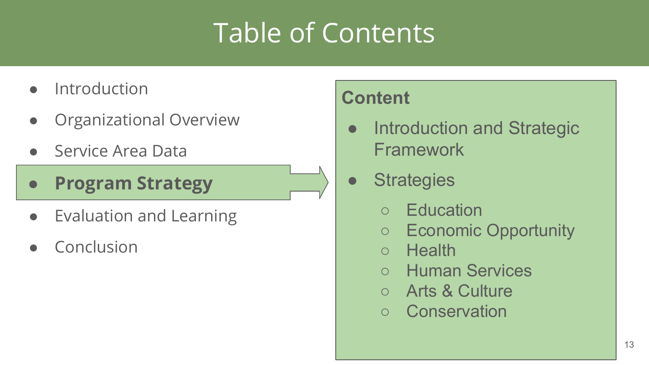#### Table of Contents

- **Introduction**
- **Organizational Overview**
- Service Area Data
- **● Program Strategy**
- Evaluation and Learning
- Conclusion

#### **Content**

- **Introduction and Strategic** Framework
- Strategies
	- **Education**
	- Economic Opportunity
	- **Health**
	- Human Services
	- Arts & Culture
	- Conservation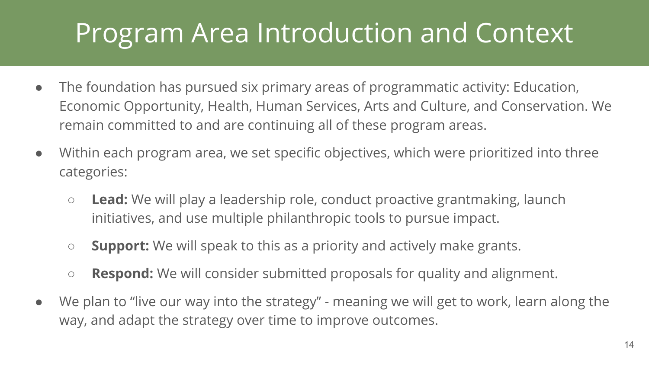#### Program Area Introduction and Context

- The foundation has pursued six primary areas of programmatic activity: Education, Economic Opportunity, Health, Human Services, Arts and Culture, and Conservation. We remain committed to and are continuing all of these program areas.
- Within each program area, we set specific objectives, which were prioritized into three categories:
	- **Lead:** We will play a leadership role, conduct proactive grantmaking, launch initiatives, and use multiple philanthropic tools to pursue impact.
	- **Support:** We will speak to this as a priority and actively make grants.
	- **Respond:** We will consider submitted proposals for quality and alignment.
- We plan to "live our way into the strategy" meaning we will get to work, learn along the way, and adapt the strategy over time to improve outcomes.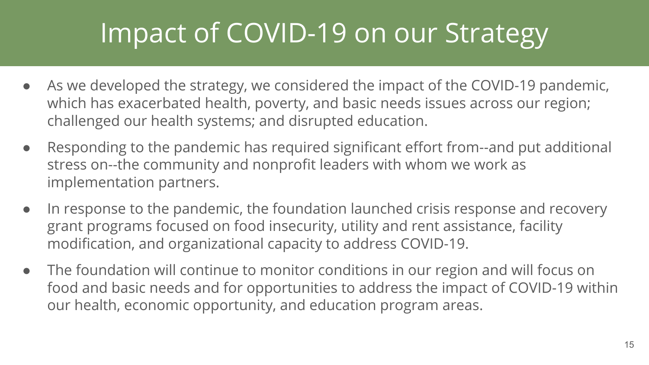#### Impact of COVID-19 on our Strategy

- As we developed the strategy, we considered the impact of the COVID-19 pandemic, which has exacerbated health, poverty, and basic needs issues across our region; challenged our health systems; and disrupted education.
- Responding to the pandemic has required significant effort from--and put additional stress on--the community and nonprofit leaders with whom we work as implementation partners.
- In response to the pandemic, the foundation launched crisis response and recovery grant programs focused on food insecurity, utility and rent assistance, facility modification, and organizational capacity to address COVID-19.
- The foundation will continue to monitor conditions in our region and will focus on food and basic needs and for opportunities to address the impact of COVID-19 within our health, economic opportunity, and education program areas.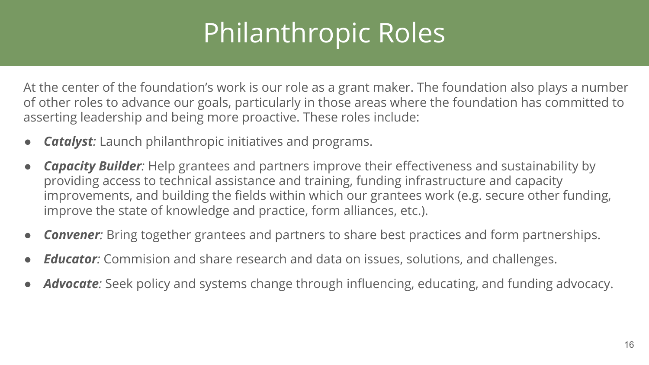#### Philanthropic Roles

At the center of the foundation's work is our role as a grant maker. The foundation also plays a number of other roles to advance our goals, particularly in those areas where the foundation has committed to asserting leadership and being more proactive. These roles include:

- *Catalyst:* Launch philanthropic initiatives and programs.
- *Capacity Builder:* Help grantees and partners improve their effectiveness and sustainability by providing access to technical assistance and training, funding infrastructure and capacity improvements, and building the fields within which our grantees work (e.g. secure other funding, improve the state of knowledge and practice, form alliances, etc.).
- **Convener**: Bring together grantees and partners to share best practices and form partnerships.
- *Educator:* Commision and share research and data on issues, solutions, and challenges.
- Advocate: Seek policy and systems change through influencing, educating, and funding advocacy.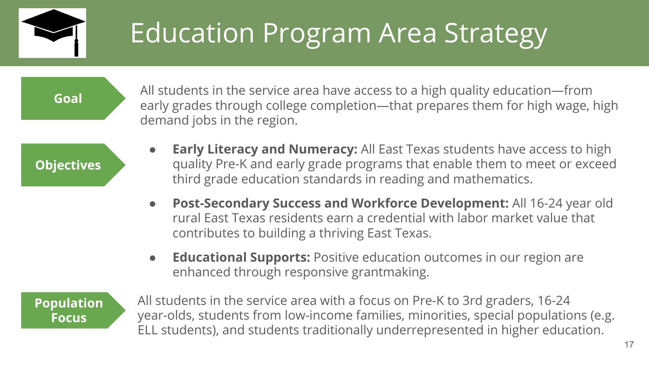

## Education Program Area Strategy

**Goal**

All students in the service area have access to a high quality education—from early grades through college completion—that prepares them for high wage, high demand jobs in the region.

**Objectives**

- **Early Literacy and Numeracy:** All East Texas students have access to high quality Pre-K and early grade programs that enable them to meet or exceed third grade education standards in reading and mathematics.
- **Post-Secondary Success and Workforce Development:** All 16-24 year old rural East Texas residents earn a credential with labor market value that contributes to building a thriving East Texas.
- **Educational Supports:** Positive education outcomes in our region are enhanced through responsive grantmaking.

**Population Focus**

All students in the service area with a focus on Pre-K to 3rd graders, 16-24 year-olds, students from low-income families, minorities, special populations (e.g. ELL students), and students traditionally underrepresented in higher education.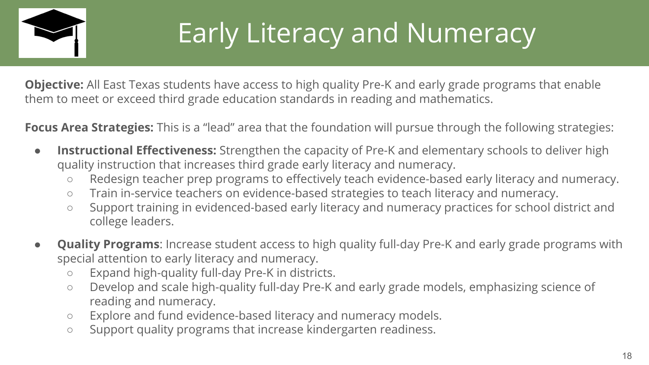

## Early Literacy and Numeracy

**Objective:** All East Texas students have access to high quality Pre-K and early grade programs that enable them to meet or exceed third grade education standards in reading and mathematics.

**Focus Area Strategies:** This is a "lead" area that the foundation will pursue through the following strategies:

- **Instructional Effectiveness:** Strengthen the capacity of Pre-K and elementary schools to deliver high quality instruction that increases third grade early literacy and numeracy.
	- Redesign teacher prep programs to effectively teach evidence-based early literacy and numeracy.
	- Train in-service teachers on evidence-based strategies to teach literacy and numeracy.
	- Support training in evidenced-based early literacy and numeracy practices for school district and college leaders.
- **Quality Programs:** Increase student access to high quality full-day Pre-K and early grade programs with special attention to early literacy and numeracy.
	- Expand high-quality full-day Pre-K in districts.
	- Develop and scale high-quality full-day Pre-K and early grade models, emphasizing science of reading and numeracy.
	- Explore and fund evidence-based literacy and numeracy models.
	- Support quality programs that increase kindergarten readiness.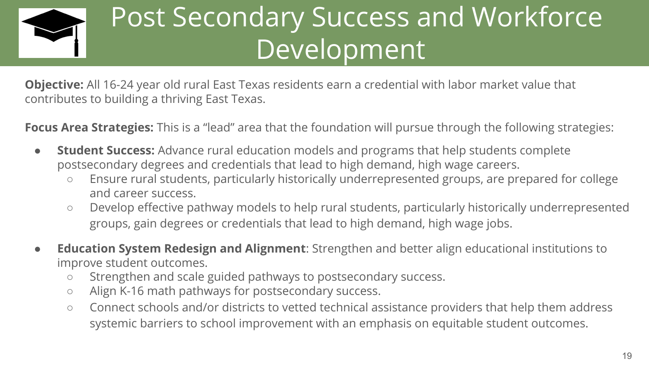

#### Post Secondary Success and Workforce Development

**Objective:** All 16-24 year old rural East Texas residents earn a credential with labor market value that contributes to building a thriving East Texas.

**Focus Area Strategies:** This is a "lead" area that the foundation will pursue through the following strategies:

- **Student Success:** Advance rural education models and programs that help students complete postsecondary degrees and credentials that lead to high demand, high wage careers.
	- Ensure rural students, particularly historically underrepresented groups, are prepared for college and career success.
	- Develop effective pathway models to help rural students, particularly historically underrepresented groups, gain degrees or credentials that lead to high demand, high wage jobs.
- **Education System Redesign and Alignment**: Strengthen and better align educational institutions to improve student outcomes.
	- Strengthen and scale guided pathways to postsecondary success.
	- Align K-16 math pathways for postsecondary success.
	- Connect schools and/or districts to vetted technical assistance providers that help them address systemic barriers to school improvement with an emphasis on equitable student outcomes.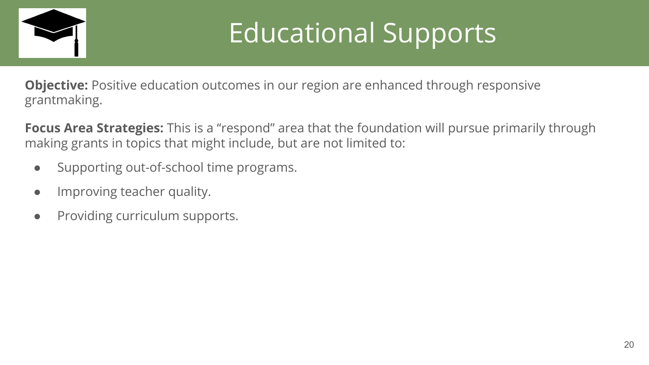

## Educational Supports

**Objective:** Positive education outcomes in our region are enhanced through responsive grantmaking.

**Focus Area Strategies:** This is a "respond" area that the foundation will pursue primarily through making grants in topics that might include, but are not limited to:

- Supporting out-of-school time programs.
- Improving teacher quality.
- Providing curriculum supports.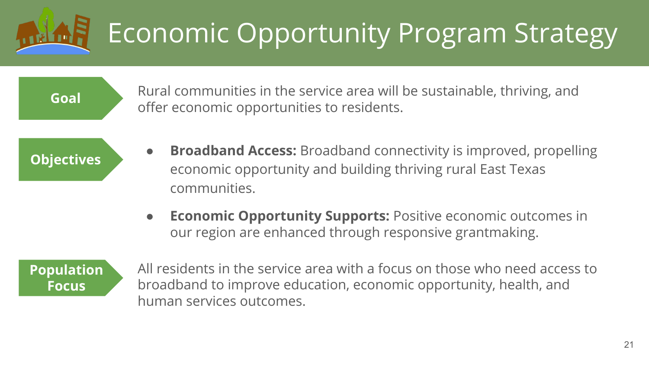# Economic Opportunity Program Strategy

Rural communities in the service area will be sustainable, thriving, and **Goal** offer economic opportunities to residents.

**Objectives**

- **Broadband Access:** Broadband connectivity is improved, propelling economic opportunity and building thriving rural East Texas communities.
- **Economic Opportunity Supports:** Positive economic outcomes in our region are enhanced through responsive grantmaking.



All residents in the service area with a focus on those who need access to broadband to improve education, economic opportunity, health, and human services outcomes.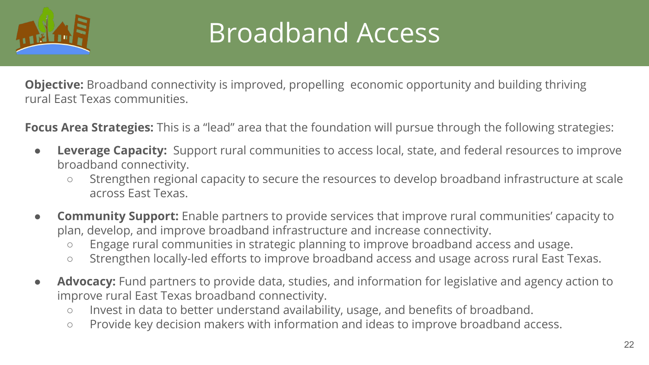

#### Broadband Access

**Objective:** Broadband connectivity is improved, propelling economic opportunity and building thriving rural East Texas communities.

**Focus Area Strategies:** This is a "lead" area that the foundation will pursue through the following strategies:

- **Leverage Capacity:** Support rural communities to access local, state, and federal resources to improve broadband connectivity.
	- Strengthen regional capacity to secure the resources to develop broadband infrastructure at scale across East Texas.
- **Community Support:** Enable partners to provide services that improve rural communities' capacity to plan, develop, and improve broadband infrastructure and increase connectivity.
	- Engage rural communities in strategic planning to improve broadband access and usage.
	- Strengthen locally-led efforts to improve broadband access and usage across rural East Texas.
- Advocacy: Fund partners to provide data, studies, and information for legislative and agency action to improve rural East Texas broadband connectivity.
	- Invest in data to better understand availability, usage, and benefits of broadband.
	- Provide key decision makers with information and ideas to improve broadband access.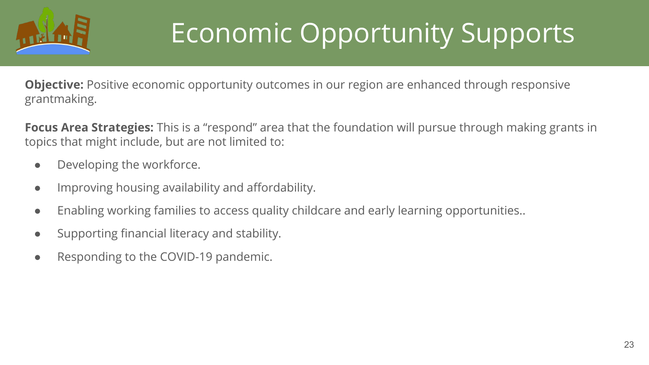

#### Economic Opportunity Supports

**Objective:** Positive economic opportunity outcomes in our region are enhanced through responsive grantmaking.

**Focus Area Strategies:** This is a "respond" area that the foundation will pursue through making grants in topics that might include, but are not limited to:

- Developing the workforce.
- Improving housing availability and affordability.
- Enabling working families to access quality childcare and early learning opportunities..
- Supporting financial literacy and stability.
- Responding to the COVID-19 pandemic.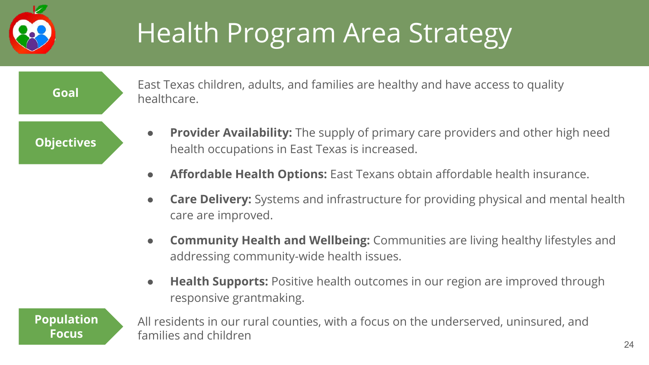

## Health Program Area Strategy

**Objectives**

- East Texas children, adults, and families are healthy and have access to quality healthcare. **Goal**
	- **Provider Availability:** The supply of primary care providers and other high need health occupations in East Texas is increased.
	- **Affordable Health Options:** East Texans obtain affordable health insurance.
	- **Care Delivery:** Systems and infrastructure for providing physical and mental health care are improved.
	- **Community Health and Wellbeing:** Communities are living healthy lifestyles and addressing community-wide health issues.
	- **Health Supports:** Positive health outcomes in our region are improved through responsive grantmaking.

**Population Focus**

All residents in our rural counties, with a focus on the underserved, uninsured, and families and children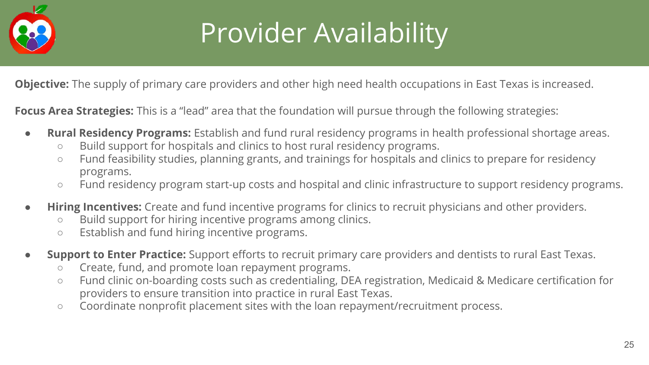

## Provider Availability

**Objective:** The supply of primary care providers and other high need health occupations in East Texas is increased.

**Focus Area Strategies:** This is a "lead" area that the foundation will pursue through the following strategies:

- **Rural Residency Programs:** Establish and fund rural residency programs in health professional shortage areas.
	- Build support for hospitals and clinics to host rural residency programs.
	- Fund feasibility studies, planning grants, and trainings for hospitals and clinics to prepare for residency programs.
	- Fund residency program start-up costs and hospital and clinic infrastructure to support residency programs.
- **Hiring Incentives:** Create and fund incentive programs for clinics to recruit physicians and other providers.
	- Build support for hiring incentive programs among clinics.
	- Establish and fund hiring incentive programs.
- **Support to Enter Practice:** Support efforts to recruit primary care providers and dentists to rural East Texas.
	- Create, fund, and promote loan repayment programs.
	- Fund clinic on-boarding costs such as credentialing, DEA registration, Medicaid & Medicare certification for providers to ensure transition into practice in rural East Texas.
	- Coordinate nonprofit placement sites with the loan repayment/recruitment process.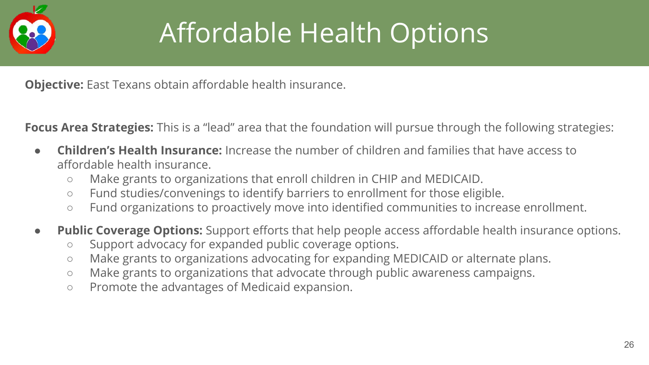

## Affordable Health Options

**Objective:** East Texans obtain affordable health insurance.

**Focus Area Strategies:** This is a "lead" area that the foundation will pursue through the following strategies:

- **Children's Health Insurance:** Increase the number of children and families that have access to affordable health insurance.
	- Make grants to organizations that enroll children in CHIP and MEDICAID.
	- Fund studies/convenings to identify barriers to enrollment for those eligible.
	- Fund organizations to proactively move into identified communities to increase enrollment.
- **Public Coverage Options:** Support efforts that help people access affordable health insurance options.
	- Support advocacy for expanded public coverage options.
	- Make grants to organizations advocating for expanding MEDICAID or alternate plans.
	- Make grants to organizations that advocate through public awareness campaigns.
	- Promote the advantages of Medicaid expansion.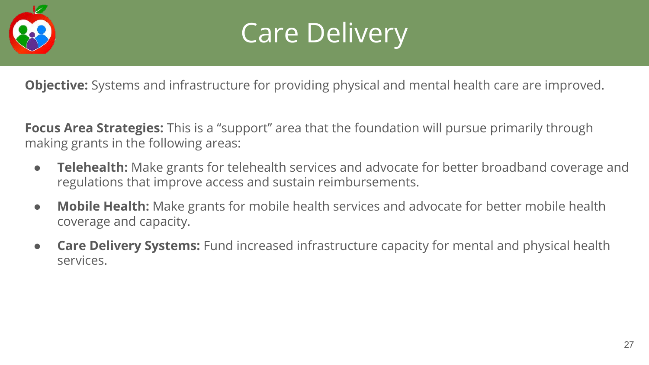



**Objective:** Systems and infrastructure for providing physical and mental health care are improved.

**Focus Area Strategies:** This is a "support" area that the foundation will pursue primarily through making grants in the following areas:

- **Telehealth:** Make grants for telehealth services and advocate for better broadband coverage and regulations that improve access and sustain reimbursements.
- **Mobile Health:** Make grants for mobile health services and advocate for better mobile health coverage and capacity.
- **Care Delivery Systems:** Fund increased infrastructure capacity for mental and physical health services.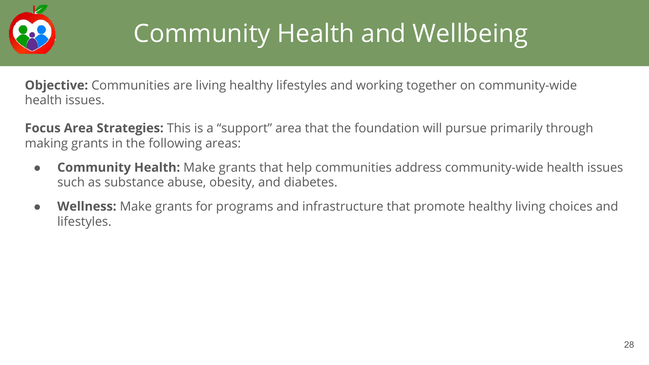

## Community Health and Wellbeing

**Objective:** Communities are living healthy lifestyles and working together on community-wide health issues.

**Focus Area Strategies:** This is a "support" area that the foundation will pursue primarily through making grants in the following areas:

- **Community Health:** Make grants that help communities address community-wide health issues such as substance abuse, obesity, and diabetes.
- **Wellness:** Make grants for programs and infrastructure that promote healthy living choices and lifestyles.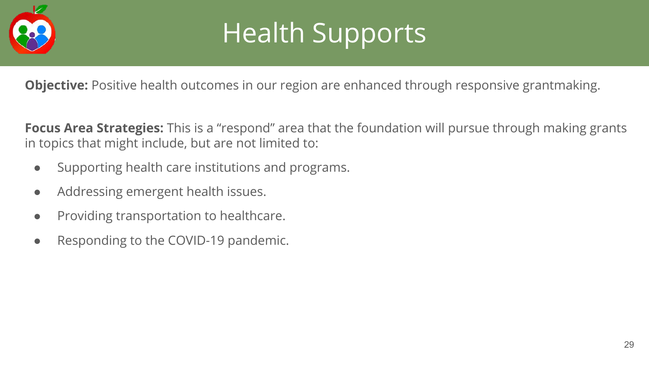

#### Health Supports

**Objective:** Positive health outcomes in our region are enhanced through responsive grantmaking.

**Focus Area Strategies:** This is a "respond" area that the foundation will pursue through making grants in topics that might include, but are not limited to:

- Supporting health care institutions and programs.
- Addressing emergent health issues.
- Providing transportation to healthcare.
- Responding to the COVID-19 pandemic.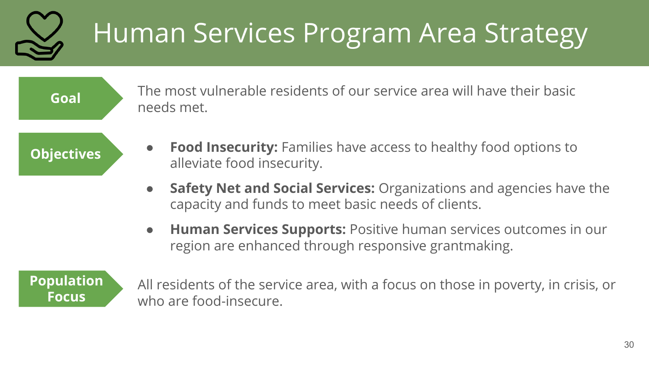# Human Services Program Area Strategy

**Goal**

The most vulnerable residents of our service area will have their basic needs met.

**Objectives**

- **Food Insecurity:** Families have access to healthy food options to alleviate food insecurity.
- **Safety Net and Social Services:** Organizations and agencies have the capacity and funds to meet basic needs of clients.
- **Human Services Supports:** Positive human services outcomes in our region are enhanced through responsive grantmaking.

**Population Focus**

All residents of the service area, with a focus on those in poverty, in crisis, or who are food-insecure.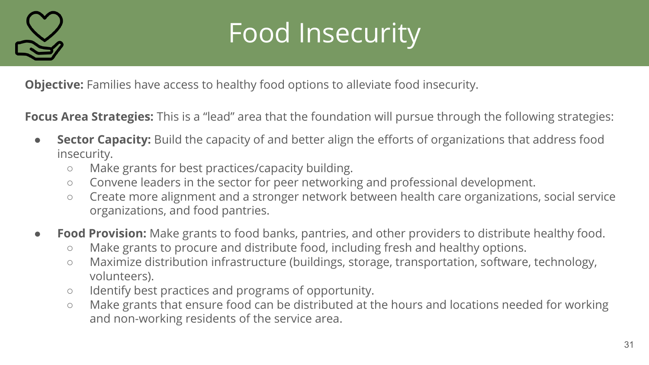

## Food Insecurity

**Objective:** Families have access to healthy food options to alleviate food insecurity.

**Focus Area Strategies:** This is a "lead" area that the foundation will pursue through the following strategies:

- **Sector Capacity:** Build the capacity of and better align the efforts of organizations that address food insecurity.
	- Make grants for best practices/capacity building.
	- Convene leaders in the sector for peer networking and professional development.
	- Create more alignment and a stronger network between health care organizations, social service organizations, and food pantries.
- **Food Provision:** Make grants to food banks, pantries, and other providers to distribute healthy food.
	- Make grants to procure and distribute food, including fresh and healthy options.
	- Maximize distribution infrastructure (buildings, storage, transportation, software, technology, volunteers).
	- Identify best practices and programs of opportunity.
	- Make grants that ensure food can be distributed at the hours and locations needed for working and non-working residents of the service area.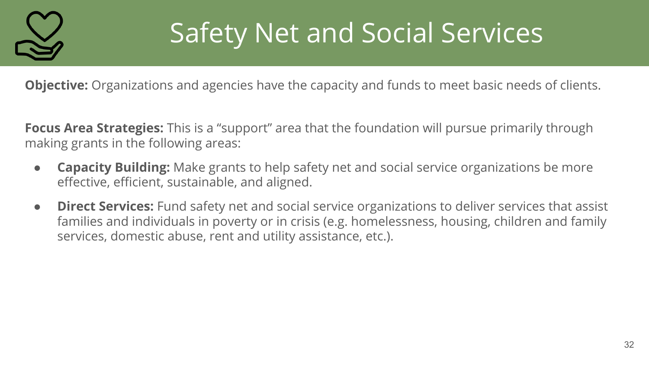

#### Safety Net and Social Services

**Objective:** Organizations and agencies have the capacity and funds to meet basic needs of clients.

**Focus Area Strategies:** This is a "support" area that the foundation will pursue primarily through making grants in the following areas:

- **Capacity Building:** Make grants to help safety net and social service organizations be more effective, efficient, sustainable, and aligned.
- **Direct Services:** Fund safety net and social service organizations to deliver services that assist families and individuals in poverty or in crisis (e.g. homelessness, housing, children and family services, domestic abuse, rent and utility assistance, etc.).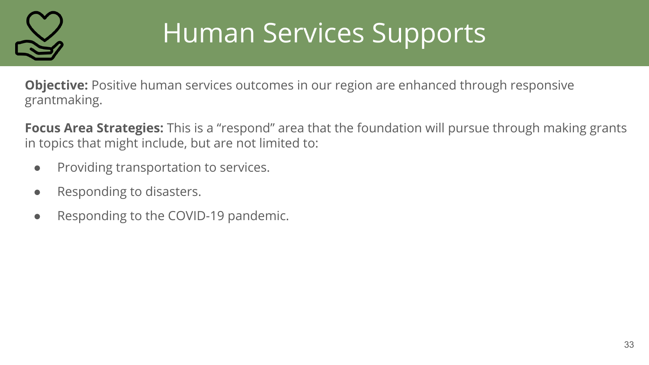

## Human Services Supports

**Objective:** Positive human services outcomes in our region are enhanced through responsive grantmaking.

**Focus Area Strategies:** This is a "respond" area that the foundation will pursue through making grants in topics that might include, but are not limited to:

- Providing transportation to services.
- Responding to disasters.
- Responding to the COVID-19 pandemic.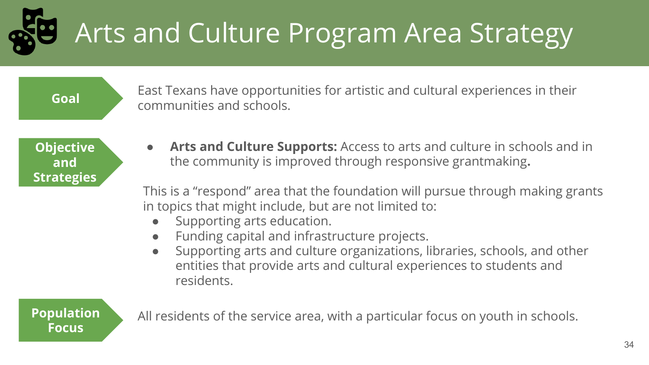Arts and Culture Program Area Strategy

**Goal**

East Texans have opportunities for artistic and cultural experiences in their communities and schools.

**Objective and Strategies** Arts and Culture Supports: Access to arts and culture in schools and in the community is improved through responsive grantmaking**.**

This is a "respond" area that the foundation will pursue through making grants in topics that might include, but are not limited to:

- Supporting arts education.
- Funding capital and infrastructure projects.
- Supporting arts and culture organizations, libraries, schools, and other entities that provide arts and cultural experiences to students and residents.

**Focus**

**Population** All residents of the service area, with a particular focus on youth in schools.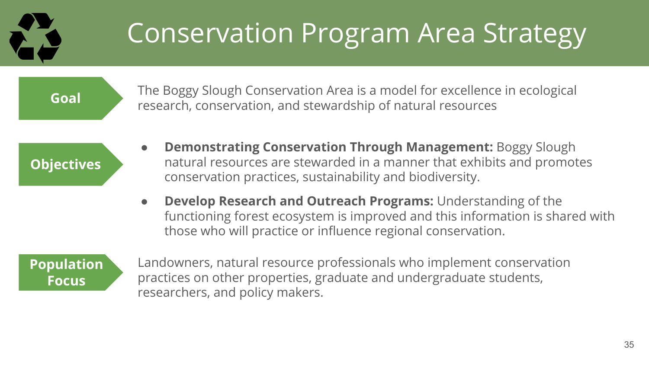#### Conservation Program Area Strategy

**Goal**

The Boggy Slough Conservation Area is a model for excellence in ecological research, conservation, and stewardship of natural resources

**Objectives**

- **Demonstrating Conservation Through Management:** Boggy Slough natural resources are stewarded in a manner that exhibits and promotes conservation practices, sustainability and biodiversity.
- **Develop Research and Outreach Programs:** Understanding of the functioning forest ecosystem is improved and this information is shared with those who will practice or influence regional conservation.



Landowners, natural resource professionals who implement conservation practices on other properties, graduate and undergraduate students, researchers, and policy makers.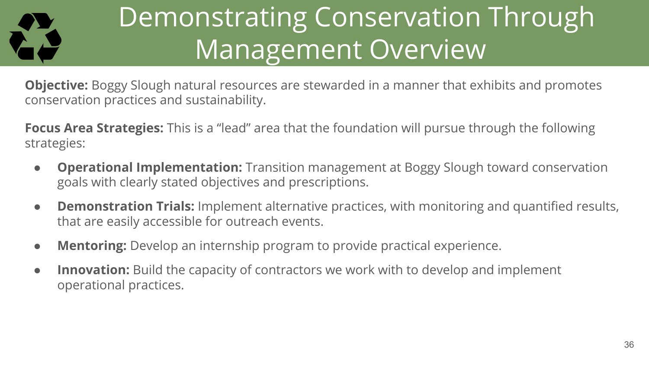

#### Demonstrating Conservation Through Management Overview

**Objective:** Boggy Slough natural resources are stewarded in a manner that exhibits and promotes conservation practices and sustainability.

**Focus Area Strategies:** This is a "lead" area that the foundation will pursue through the following strategies:

- **Operational Implementation:** Transition management at Boggy Slough toward conservation goals with clearly stated objectives and prescriptions.
- **Demonstration Trials:** Implement alternative practices, with monitoring and quantified results, that are easily accessible for outreach events.
- **Mentoring:** Develop an internship program to provide practical experience.
- **Innovation:** Build the capacity of contractors we work with to develop and implement operational practices.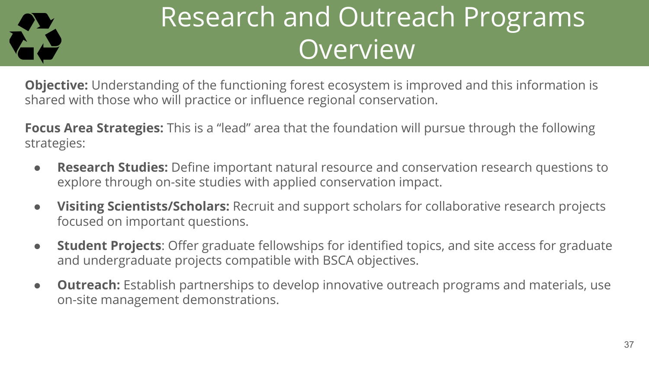

#### Research and Outreach Programs Overview

**Objective:** Understanding of the functioning forest ecosystem is improved and this information is shared with those who will practice or influence regional conservation.

**Focus Area Strategies:** This is a "lead" area that the foundation will pursue through the following strategies:

- **Research Studies:** Define important natural resource and conservation research questions to explore through on-site studies with applied conservation impact.
- **Visiting Scientists/Scholars:** Recruit and support scholars for collaborative research projects focused on important questions.
- **Student Projects**: Offer graduate fellowships for identified topics, and site access for graduate and undergraduate projects compatible with BSCA objectives.
- **Outreach:** Establish partnerships to develop innovative outreach programs and materials, use on-site management demonstrations.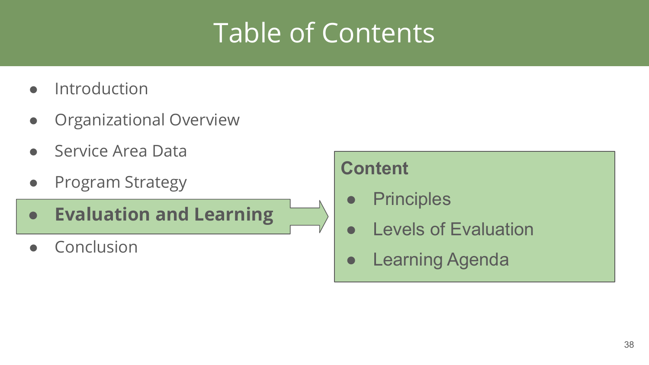#### Table of Contents

- Introduction
- Organizational Overview
- Service Area Data
- Program Strategy
- **● Evaluation and Learning**
- Conclusion

#### **Content**

- Principles
- Levels of Evaluation
- **•** Learning Agenda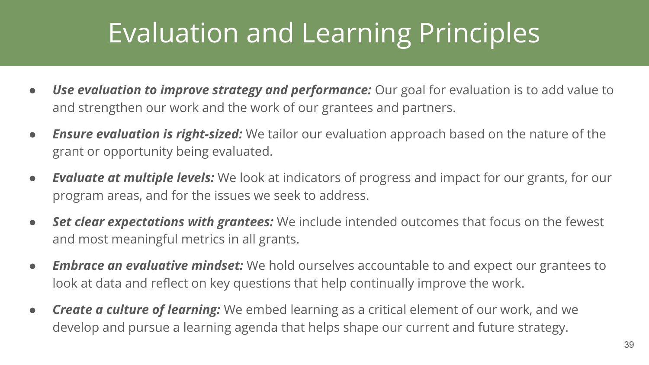#### Evaluation and Learning Principles

- *Use evaluation to improve strategy and performance:* Our goal for evaluation is to add value to and strengthen our work and the work of our grantees and partners.
- **Ensure evaluation is right-sized:** We tailor our evaluation approach based on the nature of the grant or opportunity being evaluated.
- *Evaluate at multiple levels:* We look at indicators of progress and impact for our grants, for our program areas, and for the issues we seek to address.
- **Set clear expectations with grantees:** We include intended outcomes that focus on the fewest and most meaningful metrics in all grants.
- *Embrace an evaluative mindset:* We hold ourselves accountable to and expect our grantees to look at data and reflect on key questions that help continually improve the work.
- *Create a culture of learning:* We embed learning as a critical element of our work, and we develop and pursue a learning agenda that helps shape our current and future strategy.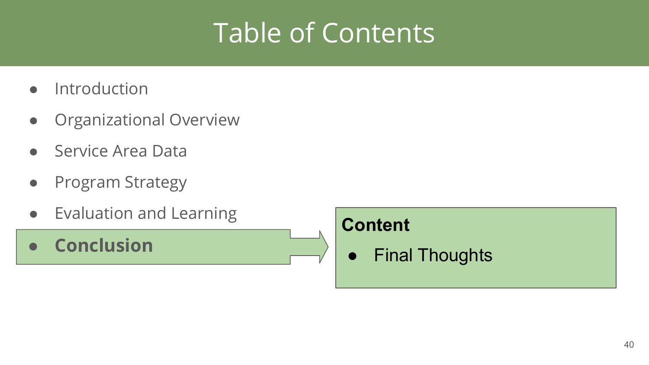#### Table of Contents

- Introduction
- Organizational Overview
- Service Area Data
- Program Strategy
- Evaluation and Learning
- **● Conclusion**

#### **Content**

● Final Thoughts